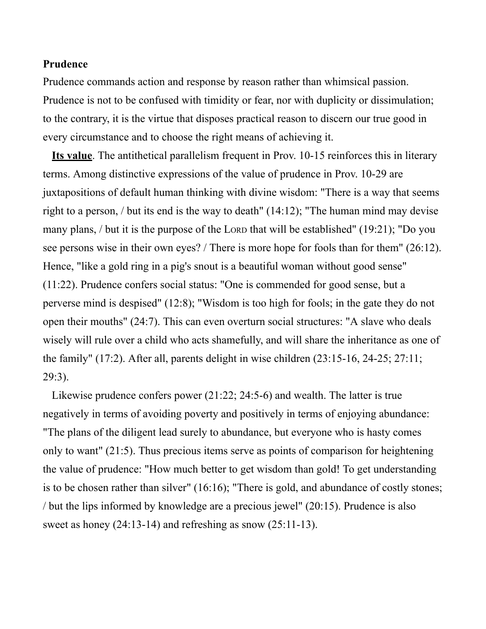## **Prudence**

Prudence commands action and response by reason rather than whimsical passion. Prudence is not to be confused with timidity or fear, nor with duplicity or dissimulation; to the contrary, it is the virtue that disposes practical reason to discern our true good in every circumstance and to choose the right means of achieving it.

**Its value**. The antithetical parallelism frequent in Prov. 10-15 reinforces this in literary terms. Among distinctive expressions of the value of prudence in Prov. 10-29 are juxtapositions of default human thinking with divine wisdom: "There is a way that seems right to a person, / but its end is the way to death" (14:12); "The human mind may devise many plans, / but it is the purpose of the LORD that will be established" (19:21); "Do you see persons wise in their own eyes? / There is more hope for fools than for them" (26:12). Hence, "like a gold ring in a pig's snout is a beautiful woman without good sense" (11:22). Prudence confers social status: "One is commended for good sense, but a perverse mind is despised" (12:8); "Wisdom is too high for fools; in the gate they do not open their mouths" (24:7). This can even overturn social structures: "A slave who deals wisely will rule over a child who acts shamefully, and will share the inheritance as one of the family" (17:2). After all, parents delight in wise children (23:15-16, 24-25; 27:11; 29:3).

Likewise prudence confers power (21:22; 24:5-6) and wealth. The latter is true negatively in terms of avoiding poverty and positively in terms of enjoying abundance: "The plans of the diligent lead surely to abundance, but everyone who is hasty comes only to want" (21:5). Thus precious items serve as points of comparison for heightening the value of prudence: "How much better to get wisdom than gold! To get understanding is to be chosen rather than silver" (16:16); "There is gold, and abundance of costly stones; / but the lips informed by knowledge are a precious jewel" (20:15). Prudence is also sweet as honey (24:13-14) and refreshing as snow (25:11-13).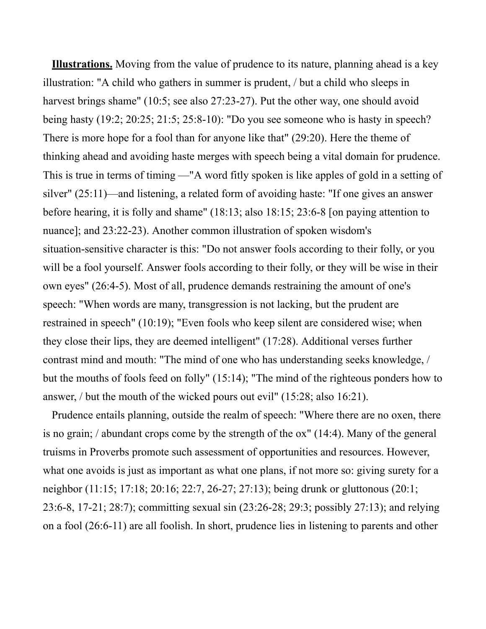**Illustrations.** Moving from the value of prudence to its nature, planning ahead is a key illustration: "A child who gathers in summer is prudent, / but a child who sleeps in harvest brings shame" (10:5; see also 27:23-27). Put the other way, one should avoid being hasty (19:2; 20:25; 21:5; 25:8-10): "Do you see someone who is hasty in speech? There is more hope for a fool than for anyone like that" (29:20). Here the theme of thinking ahead and avoiding haste merges with speech being a vital domain for prudence. This is true in terms of timing —"A word fitly spoken is like apples of gold in a setting of silver" (25:11)—and listening, a related form of avoiding haste: "If one gives an answer before hearing, it is folly and shame" (18:13; also 18:15; 23:6-8 [on paying attention to nuance]; and 23:22-23). Another common illustration of spoken wisdom's situation-sensitive character is this: "Do not answer fools according to their folly, or you will be a fool yourself. Answer fools according to their folly, or they will be wise in their own eyes" (26:4-5). Most of all, prudence demands restraining the amount of one's speech: "When words are many, transgression is not lacking, but the prudent are restrained in speech" (10:19); "Even fools who keep silent are considered wise; when they close their lips, they are deemed intelligent" (17:28). Additional verses further contrast mind and mouth: "The mind of one who has understanding seeks knowledge, / but the mouths of fools feed on folly" (15:14); "The mind of the righteous ponders how to answer, / but the mouth of the wicked pours out evil" (15:28; also 16:21).

Prudence entails planning, outside the realm of speech: "Where there are no oxen, there is no grain; / abundant crops come by the strength of the ox" (14:4). Many of the general truisms in Proverbs promote such assessment of opportunities and resources. However, what one avoids is just as important as what one plans, if not more so: giving surety for a neighbor (11:15; 17:18; 20:16; 22:7, 26-27; 27:13); being drunk or gluttonous (20:1; 23:6-8, 17-21; 28:7); committing sexual sin (23:26-28; 29:3; possibly 27:13); and relying on a fool (26:6-11) are all foolish. In short, prudence lies in listening to parents and other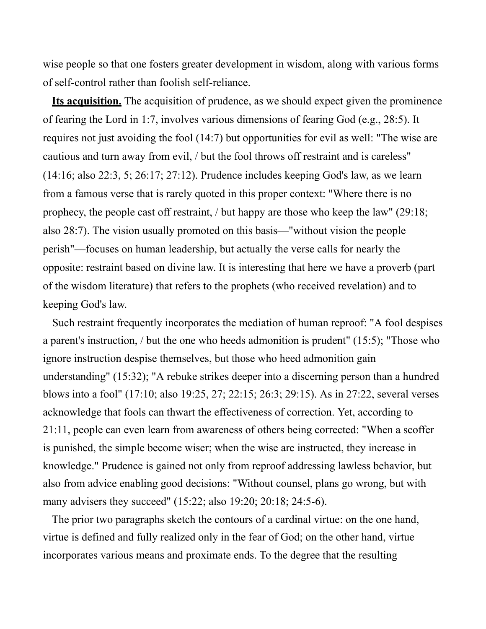wise people so that one fosters greater development in wisdom, along with various forms of self-control rather than foolish self-reliance.

**Its acquisition.** The acquisition of prudence, as we should expect given the prominence of fearing the Lord in 1:7, involves various dimensions of fearing God (e.g., 28:5). It requires not just avoiding the fool (14:7) but opportunities for evil as well: "The wise are cautious and turn away from evil, / but the fool throws off restraint and is careless" (14:16; also 22:3, 5; 26:17; 27:12). Prudence includes keeping God's law, as we learn from a famous verse that is rarely quoted in this proper context: "Where there is no prophecy, the people cast off restraint, / but happy are those who keep the law" (29:18; also 28:7). The vision usually promoted on this basis—"without vision the people perish"—focuses on human leadership, but actually the verse calls for nearly the opposite: restraint based on divine law. It is interesting that here we have a proverb (part of the wisdom literature) that refers to the prophets (who received revelation) and to keeping God's law.

Such restraint frequently incorporates the mediation of human reproof: "A fool despises a parent's instruction, / but the one who heeds admonition is prudent" (15:5); "Those who ignore instruction despise themselves, but those who heed admonition gain understanding" (15:32); "A rebuke strikes deeper into a discerning person than a hundred blows into a fool" (17:10; also 19:25, 27; 22:15; 26:3; 29:15). As in 27:22, several verses acknowledge that fools can thwart the effectiveness of correction. Yet, according to 21:11, people can even learn from awareness of others being corrected: "When a scoffer is punished, the simple become wiser; when the wise are instructed, they increase in knowledge." Prudence is gained not only from reproof addressing lawless behavior, but also from advice enabling good decisions: "Without counsel, plans go wrong, but with many advisers they succeed" (15:22; also 19:20; 20:18; 24:5-6).

The prior two paragraphs sketch the contours of a cardinal virtue: on the one hand, virtue is defined and fully realized only in the fear of God; on the other hand, virtue incorporates various means and proximate ends. To the degree that the resulting